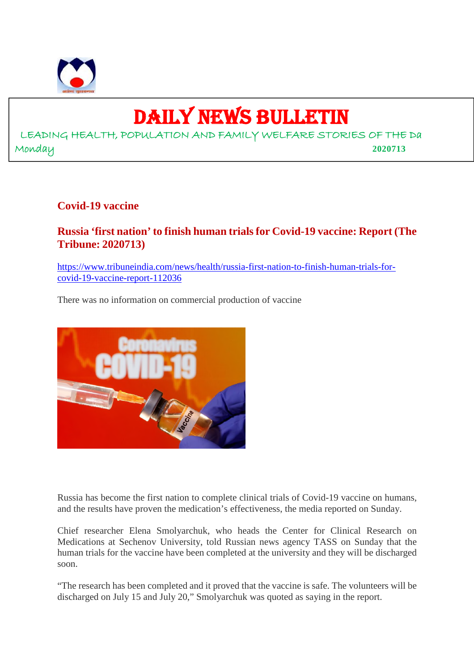

# DAILY NEWS BULLETIN

LEADING HEALTH, POPULATION AND FAMILY WELFARE STORIES OF THE Da Monday **2020713**

# **Covid-19 vaccine**

# **Russia 'first nation' to finish human trials for Covid-19 vaccine: Report (The Tribune: 2020713)**

https://www.tribuneindia.com/news/health/russia-first-nation-to-finish-human-trials-forcovid-19-vaccine-report-112036

There was no information on commercial production of vaccine



Russia has become the first nation to complete clinical trials of Covid-19 vaccine on humans, and the results have proven the medication's effectiveness, the media reported on Sunday.

Chief researcher Elena Smolyarchuk, who heads the Center for Clinical Research on Medications at Sechenov University, told Russian news agency TASS on Sunday that the human trials for the vaccine have been completed at the university and they will be discharged soon.

"The research has been completed and it proved that the vaccine is safe. The volunteers will be discharged on July 15 and July 20," Smolyarchuk was quoted as saying in the report.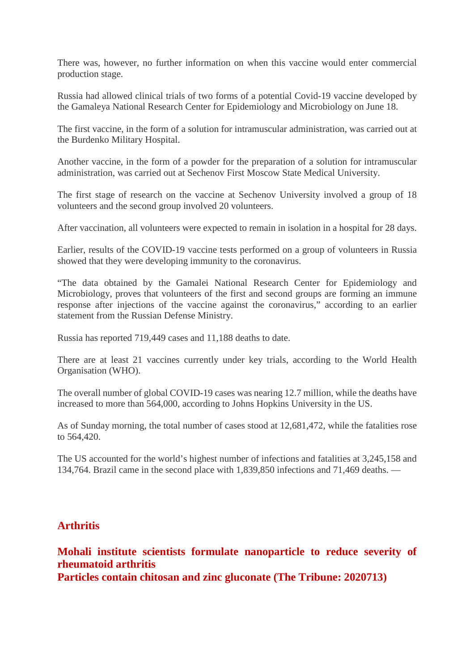There was, however, no further information on when this vaccine would enter commercial production stage.

Russia had allowed clinical trials of two forms of a potential Covid-19 vaccine developed by the Gamaleya National Research Center for Epidemiology and Microbiology on June 18.

The first vaccine, in the form of a solution for intramuscular administration, was carried out at the Burdenko Military Hospital.

Another vaccine, in the form of a powder for the preparation of a solution for intramuscular administration, was carried out at Sechenov First Moscow State Medical University.

The first stage of research on the vaccine at Sechenov University involved a group of 18 volunteers and the second group involved 20 volunteers.

After vaccination, all volunteers were expected to remain in isolation in a hospital for 28 days.

Earlier, results of the COVID-19 vaccine tests performed on a group of volunteers in Russia showed that they were developing immunity to the coronavirus.

"The data obtained by the Gamalei National Research Center for Epidemiology and Microbiology, proves that volunteers of the first and second groups are forming an immune response after injections of the vaccine against the coronavirus," according to an earlier statement from the Russian Defense Ministry.

Russia has reported 719,449 cases and 11,188 deaths to date.

There are at least 21 vaccines currently under key trials, according to the World Health Organisation (WHO).

The overall number of global COVID-19 cases was nearing 12.7 million, while the deaths have increased to more than 564,000, according to Johns Hopkins University in the US.

As of Sunday morning, the total number of cases stood at 12,681,472, while the fatalities rose to 564,420.

The US accounted for the world's highest number of infections and fatalities at 3,245,158 and 134,764. Brazil came in the second place with 1,839,850 infections and 71,469 deaths. —

## **Arthritis**

**Mohali institute scientists formulate nanoparticle to reduce severity of rheumatoid arthritis**

**Particles contain chitosan and zinc gluconate (The Tribune: 2020713)**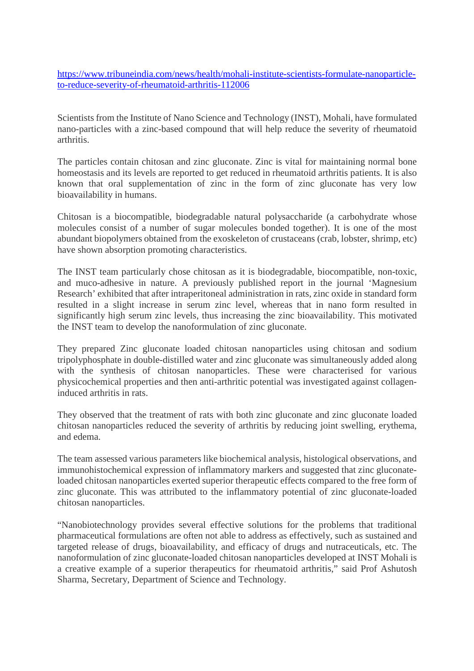https://www.tribuneindia.com/news/health/mohali-institute-scientists-formulate-nanoparticleto-reduce-severity-of-rheumatoid-arthritis-112006

Scientists from the Institute of Nano Science and Technology (INST), Mohali, have formulated nano-particles with a zinc-based compound that will help reduce the severity of rheumatoid arthritis.

The particles contain chitosan and zinc gluconate. Zinc is vital for maintaining normal bone homeostasis and its levels are reported to get reduced in rheumatoid arthritis patients. It is also known that oral supplementation of zinc in the form of zinc gluconate has very low bioavailability in humans.

Chitosan is a biocompatible, biodegradable natural polysaccharide (a carbohydrate whose molecules consist of a number of sugar molecules bonded together). It is one of the most abundant biopolymers obtained from the exoskeleton of crustaceans (crab, lobster, shrimp, etc) have shown absorption promoting characteristics.

The INST team particularly chose chitosan as it is biodegradable, biocompatible, non-toxic, and muco-adhesive in nature. A previously published report in the journal 'Magnesium Research' exhibited that after intraperitoneal administration in rats, zinc oxide in standard form resulted in a slight increase in serum zinc level, whereas that in nano form resulted in significantly high serum zinc levels, thus increasing the zinc bioavailability. This motivated the INST team to develop the nanoformulation of zinc gluconate.

They prepared Zinc gluconate loaded chitosan nanoparticles using chitosan and sodium tripolyphosphate in double-distilled water and zinc gluconate was simultaneously added along with the synthesis of chitosan nanoparticles. These were characterised for various physicochemical properties and then anti-arthritic potential was investigated against collageninduced arthritis in rats.

They observed that the treatment of rats with both zinc gluconate and zinc gluconate loaded chitosan nanoparticles reduced the severity of arthritis by reducing joint swelling, erythema, and edema.

The team assessed various parameters like biochemical analysis, histological observations, and immunohistochemical expression of inflammatory markers and suggested that zinc gluconateloaded chitosan nanoparticles exerted superior therapeutic effects compared to the free form of zinc gluconate. This was attributed to the inflammatory potential of zinc gluconate-loaded chitosan nanoparticles.

"Nanobiotechnology provides several effective solutions for the problems that traditional pharmaceutical formulations are often not able to address as effectively, such as sustained and targeted release of drugs, bioavailability, and efficacy of drugs and nutraceuticals, etc. The nanoformulation of zinc gluconate-loaded chitosan nanoparticles developed at INST Mohali is a creative example of a superior therapeutics for rheumatoid arthritis," said Prof Ashutosh Sharma, Secretary, Department of Science and Technology.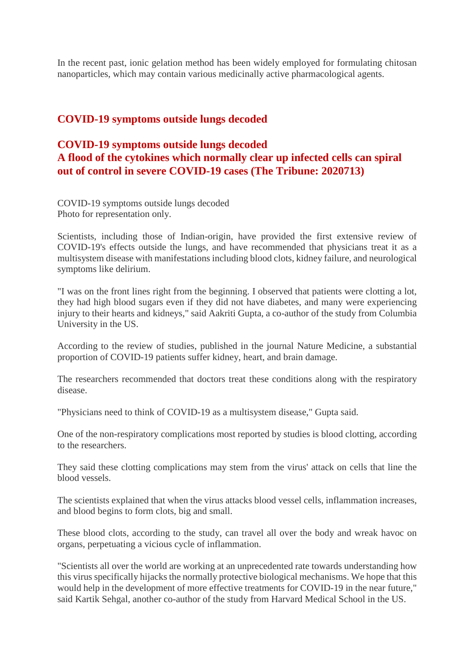In the recent past, ionic gelation method has been widely employed for formulating chitosan nanoparticles, which may contain various medicinally active pharmacological agents.

# **COVID-19 symptoms outside lungs decoded**

# **COVID-19 symptoms outside lungs decoded A flood of the cytokines which normally clear up infected cells can spiral out of control in severe COVID-19 cases (The Tribune: 2020713)**

COVID-19 symptoms outside lungs decoded Photo for representation only.

Scientists, including those of Indian-origin, have provided the first extensive review of COVID-19's effects outside the lungs, and have recommended that physicians treat it as a multisystem disease with manifestations including blood clots, kidney failure, and neurological symptoms like delirium.

"I was on the front lines right from the beginning. I observed that patients were clotting a lot, they had high blood sugars even if they did not have diabetes, and many were experiencing injury to their hearts and kidneys," said Aakriti Gupta, a co-author of the study from Columbia University in the US.

According to the review of studies, published in the journal Nature Medicine, a substantial proportion of COVID-19 patients suffer kidney, heart, and brain damage.

The researchers recommended that doctors treat these conditions along with the respiratory disease.

"Physicians need to think of COVID-19 as a multisystem disease," Gupta said.

One of the non-respiratory complications most reported by studies is blood clotting, according to the researchers.

They said these clotting complications may stem from the virus' attack on cells that line the blood vessels.

The scientists explained that when the virus attacks blood vessel cells, inflammation increases, and blood begins to form clots, big and small.

These blood clots, according to the study, can travel all over the body and wreak havoc on organs, perpetuating a vicious cycle of inflammation.

"Scientists all over the world are working at an unprecedented rate towards understanding how this virus specifically hijacks the normally protective biological mechanisms. We hope that this would help in the development of more effective treatments for COVID-19 in the near future," said Kartik Sehgal, another co-author of the study from Harvard Medical School in the US.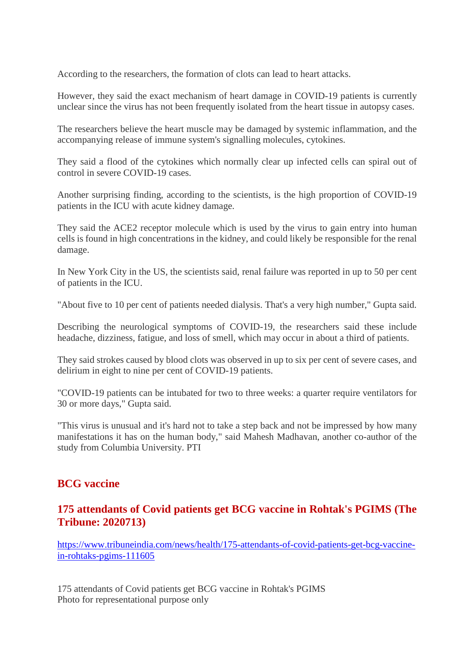According to the researchers, the formation of clots can lead to heart attacks.

However, they said the exact mechanism of heart damage in COVID-19 patients is currently unclear since the virus has not been frequently isolated from the heart tissue in autopsy cases.

The researchers believe the heart muscle may be damaged by systemic inflammation, and the accompanying release of immune system's signalling molecules, cytokines.

They said a flood of the cytokines which normally clear up infected cells can spiral out of control in severe COVID-19 cases.

Another surprising finding, according to the scientists, is the high proportion of COVID-19 patients in the ICU with acute kidney damage.

They said the ACE2 receptor molecule which is used by the virus to gain entry into human cells is found in high concentrations in the kidney, and could likely be responsible for the renal damage.

In New York City in the US, the scientists said, renal failure was reported in up to 50 per cent of patients in the ICU.

"About five to 10 per cent of patients needed dialysis. That's a very high number," Gupta said.

Describing the neurological symptoms of COVID-19, the researchers said these include headache, dizziness, fatigue, and loss of smell, which may occur in about a third of patients.

They said strokes caused by blood clots was observed in up to six per cent of severe cases, and delirium in eight to nine per cent of COVID-19 patients.

"COVID-19 patients can be intubated for two to three weeks: a quarter require ventilators for 30 or more days," Gupta said.

"This virus is unusual and it's hard not to take a step back and not be impressed by how many manifestations it has on the human body," said Mahesh Madhavan, another co-author of the study from Columbia University. PTI

# **BCG vaccine**

# **175 attendants of Covid patients get BCG vaccine in Rohtak's PGIMS (The Tribune: 2020713)**

https://www.tribuneindia.com/news/health/175-attendants-of-covid-patients-get-bcg-vaccinein-rohtaks-pgims-111605

175 attendants of Covid patients get BCG vaccine in Rohtak's PGIMS Photo for representational purpose only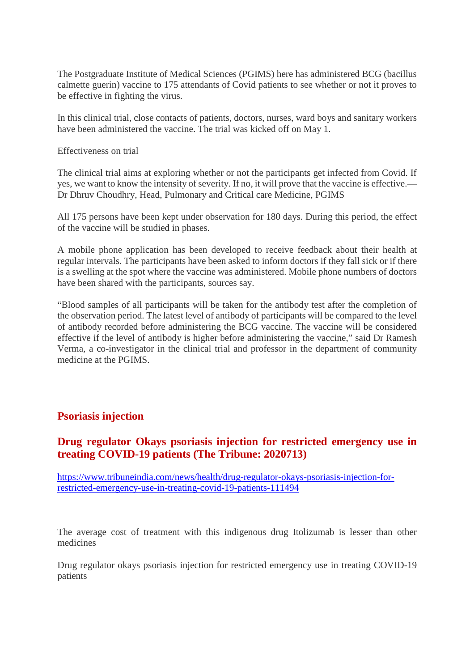The Postgraduate Institute of Medical Sciences (PGIMS) here has administered BCG (bacillus calmette guerin) vaccine to 175 attendants of Covid patients to see whether or not it proves to be effective in fighting the virus.

In this clinical trial, close contacts of patients, doctors, nurses, ward boys and sanitary workers have been administered the vaccine. The trial was kicked off on May 1.

Effectiveness on trial

The clinical trial aims at exploring whether or not the participants get infected from Covid. If yes, we want to know the intensity of severity. If no, it will prove that the vaccine is effective.— Dr Dhruv Choudhry, Head, Pulmonary and Critical care Medicine, PGIMS

All 175 persons have been kept under observation for 180 days. During this period, the effect of the vaccine will be studied in phases.

A mobile phone application has been developed to receive feedback about their health at regular intervals. The participants have been asked to inform doctors if they fall sick or if there is a swelling at the spot where the vaccine was administered. Mobile phone numbers of doctors have been shared with the participants, sources say.

"Blood samples of all participants will be taken for the antibody test after the completion of the observation period. The latest level of antibody of participants will be compared to the level of antibody recorded before administering the BCG vaccine. The vaccine will be considered effective if the level of antibody is higher before administering the vaccine," said Dr Ramesh Verma, a co-investigator in the clinical trial and professor in the department of community medicine at the PGIMS.

## **Psoriasis injection**

# **Drug regulator Okays psoriasis injection for restricted emergency use in treating COVID-19 patients (The Tribune: 2020713)**

https://www.tribuneindia.com/news/health/drug-regulator-okays-psoriasis-injection-forrestricted-emergency-use-in-treating-covid-19-patients-111494

The average cost of treatment with this indigenous drug Itolizumab is lesser than other medicines

Drug regulator okays psoriasis injection for restricted emergency use in treating COVID-19 patients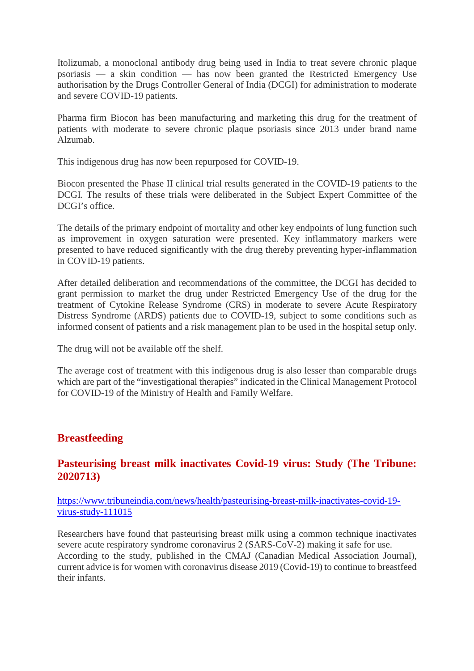Itolizumab, a monoclonal antibody drug being used in India to treat severe chronic plaque psoriasis — a skin condition — has now been granted the Restricted Emergency Use authorisation by the Drugs Controller General of India (DCGI) for administration to moderate and severe COVID-19 patients.

Pharma firm Biocon has been manufacturing and marketing this drug for the treatment of patients with moderate to severe chronic plaque psoriasis since 2013 under brand name Alzumab.

This indigenous drug has now been repurposed for COVID-19.

Biocon presented the Phase II clinical trial results generated in the COVID-19 patients to the DCGI. The results of these trials were deliberated in the Subject Expert Committee of the DCGI's office.

The details of the primary endpoint of mortality and other key endpoints of lung function such as improvement in oxygen saturation were presented. Key inflammatory markers were presented to have reduced significantly with the drug thereby preventing hyper-inflammation in COVID-19 patients.

After detailed deliberation and recommendations of the committee, the DCGI has decided to grant permission to market the drug under Restricted Emergency Use of the drug for the treatment of Cytokine Release Syndrome (CRS) in moderate to severe Acute Respiratory Distress Syndrome (ARDS) patients due to COVID-19, subject to some conditions such as informed consent of patients and a risk management plan to be used in the hospital setup only.

The drug will not be available off the shelf.

The average cost of treatment with this indigenous drug is also lesser than comparable drugs which are part of the "investigational therapies" indicated in the Clinical Management Protocol for COVID-19 of the Ministry of Health and Family Welfare.

# **Breastfeeding**

# **Pasteurising breast milk inactivates Covid-19 virus: Study (The Tribune: 2020713)**

https://www.tribuneindia.com/news/health/pasteurising-breast-milk-inactivates-covid-19 virus-study-111015

Researchers have found that pasteurising breast milk using a common technique inactivates severe acute respiratory syndrome coronavirus 2 (SARS-CoV-2) making it safe for use. According to the study, published in the CMAJ (Canadian Medical Association Journal), current advice is for women with coronavirus disease 2019 (Covid-19) to continue to breastfeed their infants.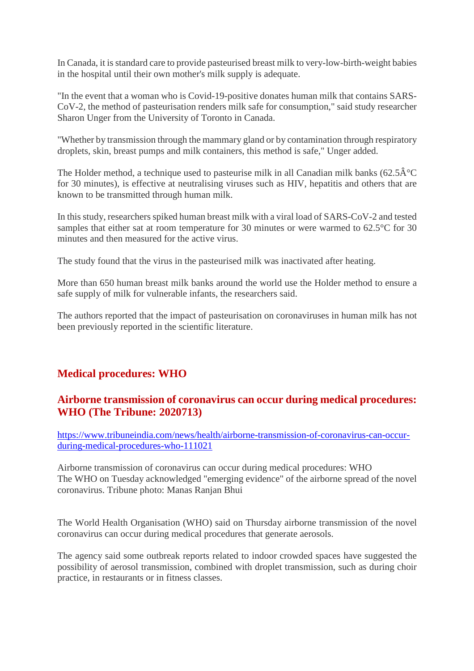In Canada, it is standard care to provide pasteurised breast milk to very-low-birth-weight babies in the hospital until their own mother's milk supply is adequate.

"In the event that a woman who is Covid-19-positive donates human milk that contains SARS-CoV-2, the method of pasteurisation renders milk safe for consumption," said study researcher Sharon Unger from the University of Toronto in Canada.

"Whether by transmission through the mammary gland or by contamination through respiratory droplets, skin, breast pumps and milk containers, this method is safe," Unger added.

The Holder method, a technique used to pasteurise milk in all Canadian milk banks (62.5 $\hat{A}^{\circ}C$ for 30 minutes), is effective at neutralising viruses such as HIV, hepatitis and others that are known to be transmitted through human milk.

In this study, researchers spiked human breast milk with a viral load of SARS-CoV-2 and tested samples that either sat at room temperature for 30 minutes or were warmed to 62.5°C for 30 minutes and then measured for the active virus.

The study found that the virus in the pasteurised milk was inactivated after heating.

More than 650 human breast milk banks around the world use the Holder method to ensure a safe supply of milk for vulnerable infants, the researchers said.

The authors reported that the impact of pasteurisation on coronaviruses in human milk has not been previously reported in the scientific literature.

# **Medical procedures: WHO**

# **Airborne transmission of coronavirus can occur during medical procedures: WHO (The Tribune: 2020713)**

https://www.tribuneindia.com/news/health/airborne-transmission-of-coronavirus-can-occurduring-medical-procedures-who-111021

Airborne transmission of coronavirus can occur during medical procedures: WHO The WHO on Tuesday acknowledged "emerging evidence" of the airborne spread of the novel coronavirus. Tribune photo: Manas Ranjan Bhui

The World Health Organisation (WHO) said on Thursday airborne transmission of the novel coronavirus can occur during medical procedures that generate aerosols.

The agency said some outbreak reports related to indoor crowded spaces have suggested the possibility of aerosol transmission, combined with droplet transmission, such as during choir practice, in restaurants or in fitness classes.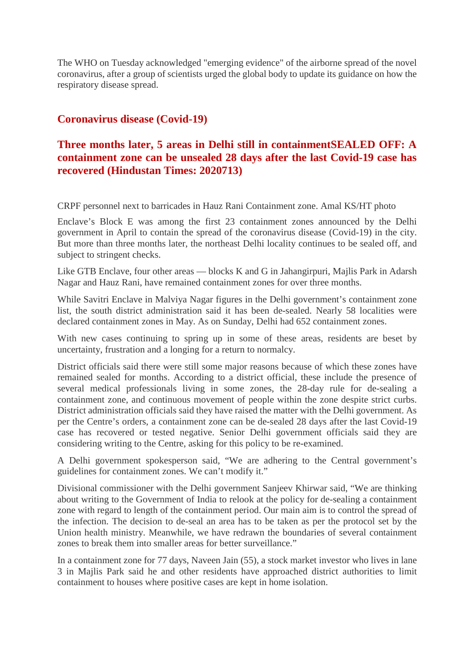The WHO on Tuesday acknowledged "emerging evidence" of the airborne spread of the novel coronavirus, after a group of scientists urged the global body to update its guidance on how the respiratory disease spread.

# **Coronavirus disease (Covid-19)**

# **Three months later, 5 areas in Delhi still in containmentSEALED OFF: A containment zone can be unsealed 28 days after the last Covid-19 case has recovered (Hindustan Times: 2020713)**

CRPF personnel next to barricades in Hauz Rani Containment zone. Amal KS/HT photo

Enclave's Block E was among the first 23 containment zones announced by the Delhi government in April to contain the spread of the coronavirus disease (Covid-19) in the city. But more than three months later, the northeast Delhi locality continues to be sealed off, and subject to stringent checks.

Like GTB Enclave, four other areas — blocks K and G in Jahangirpuri, Majlis Park in Adarsh Nagar and Hauz Rani, have remained containment zones for over three months.

While Savitri Enclave in Malviya Nagar figures in the Delhi government's containment zone list, the south district administration said it has been de-sealed. Nearly 58 localities were declared containment zones in May. As on Sunday, Delhi had 652 containment zones.

With new cases continuing to spring up in some of these areas, residents are beset by uncertainty, frustration and a longing for a return to normalcy.

District officials said there were still some major reasons because of which these zones have remained sealed for months. According to a district official, these include the presence of several medical professionals living in some zones, the 28-day rule for de-sealing a containment zone, and continuous movement of people within the zone despite strict curbs. District administration officials said they have raised the matter with the Delhi government. As per the Centre's orders, a containment zone can be de-sealed 28 days after the last Covid-19 case has recovered or tested negative. Senior Delhi government officials said they are considering writing to the Centre, asking for this policy to be re-examined.

A Delhi government spokesperson said, "We are adhering to the Central government's guidelines for containment zones. We can't modify it."

Divisional commissioner with the Delhi government Sanjeev Khirwar said, "We are thinking about writing to the Government of India to relook at the policy for de-sealing a containment zone with regard to length of the containment period. Our main aim is to control the spread of the infection. The decision to de-seal an area has to be taken as per the protocol set by the Union health ministry. Meanwhile, we have redrawn the boundaries of several containment zones to break them into smaller areas for better surveillance."

In a containment zone for 77 days, Naveen Jain (55), a stock market investor who lives in lane 3 in Majlis Park said he and other residents have approached district authorities to limit containment to houses where positive cases are kept in home isolation.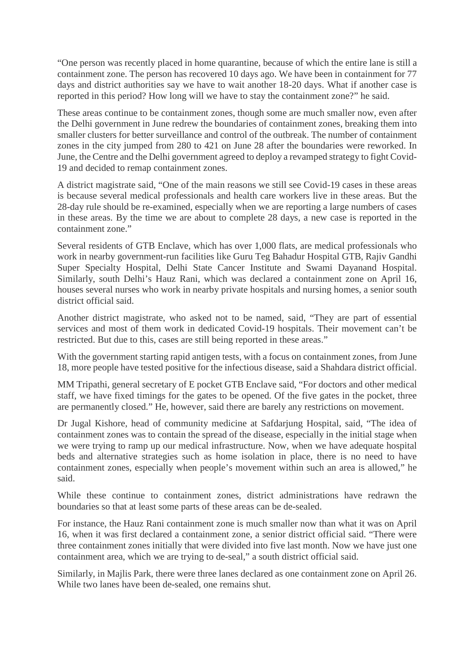"One person was recently placed in home quarantine, because of which the entire lane is still a containment zone. The person has recovered 10 days ago. We have been in containment for 77 days and district authorities say we have to wait another 18-20 days. What if another case is reported in this period? How long will we have to stay the containment zone?" he said.

These areas continue to be containment zones, though some are much smaller now, even after the Delhi government in June redrew the boundaries of containment zones, breaking them into smaller clusters for better surveillance and control of the outbreak. The number of containment zones in the city jumped from 280 to 421 on June 28 after the boundaries were reworked. In June, the Centre and the Delhi government agreed to deploy a revamped strategy to fight Covid-19 and decided to remap containment zones.

A district magistrate said, "One of the main reasons we still see Covid-19 cases in these areas is because several medical professionals and health care workers live in these areas. But the 28-day rule should be re-examined, especially when we are reporting a large numbers of cases in these areas. By the time we are about to complete 28 days, a new case is reported in the containment zone."

Several residents of GTB Enclave, which has over 1,000 flats, are medical professionals who work in nearby government-run facilities like Guru Teg Bahadur Hospital GTB, Rajiv Gandhi Super Specialty Hospital, Delhi State Cancer Institute and Swami Dayanand Hospital. Similarly, south Delhi's Hauz Rani, which was declared a containment zone on April 16, houses several nurses who work in nearby private hospitals and nursing homes, a senior south district official said.

Another district magistrate, who asked not to be named, said, "They are part of essential services and most of them work in dedicated Covid-19 hospitals. Their movement can't be restricted. But due to this, cases are still being reported in these areas."

With the government starting rapid antigen tests, with a focus on containment zones, from June 18, more people have tested positive for the infectious disease, said a Shahdara district official.

MM Tripathi, general secretary of E pocket GTB Enclave said, "For doctors and other medical staff, we have fixed timings for the gates to be opened. Of the five gates in the pocket, three are permanently closed." He, however, said there are barely any restrictions on movement.

Dr Jugal Kishore, head of community medicine at Safdarjung Hospital, said, "The idea of containment zones was to contain the spread of the disease, especially in the initial stage when we were trying to ramp up our medical infrastructure. Now, when we have adequate hospital beds and alternative strategies such as home isolation in place, there is no need to have containment zones, especially when people's movement within such an area is allowed," he said.

While these continue to containment zones, district administrations have redrawn the boundaries so that at least some parts of these areas can be de-sealed.

For instance, the Hauz Rani containment zone is much smaller now than what it was on April 16, when it was first declared a containment zone, a senior district official said. "There were three containment zones initially that were divided into five last month. Now we have just one containment area, which we are trying to de-seal," a south district official said.

Similarly, in Majlis Park, there were three lanes declared as one containment zone on April 26. While two lanes have been de-sealed, one remains shut.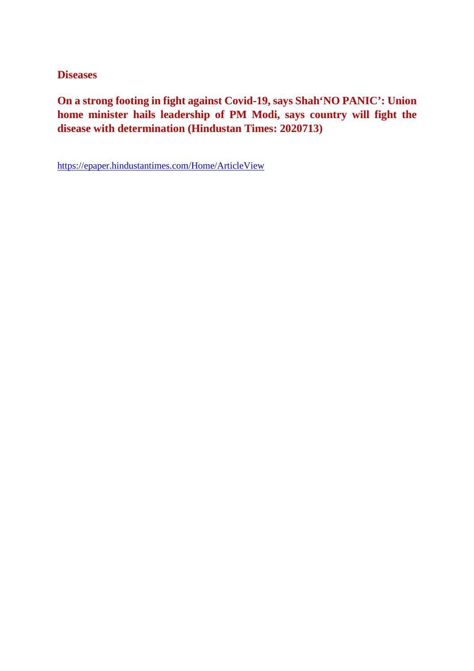**Diseases**

**On a strong footing in fight against Covid-19, says Shah'NO PANIC': Union home minister hails leadership of PM Modi, says country will fight the disease with determination (Hindustan Times: 2020713)**

https://epaper.hindustantimes.com/Home/ArticleView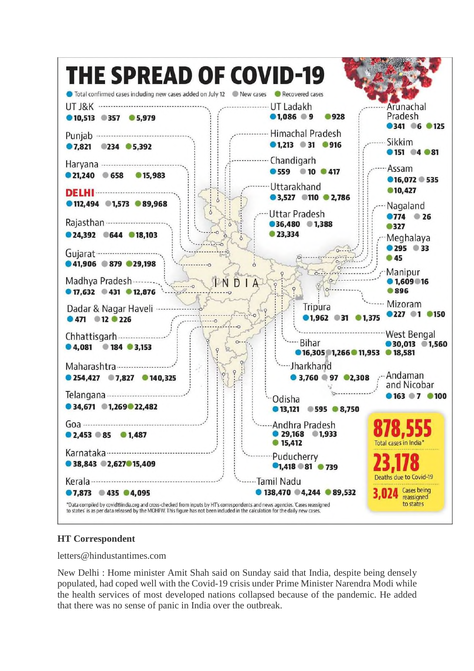

## **HT Correspondent**

letters@hindustantimes.com

New Delhi : Home minister Amit Shah said on Sunday said that India, despite being densely populated, had coped well with the Covid-19 crisis under Prime Minister Narendra Modi while the health services of most developed nations collapsed because of the pandemic. He added that there was no sense of panic in India over the outbreak.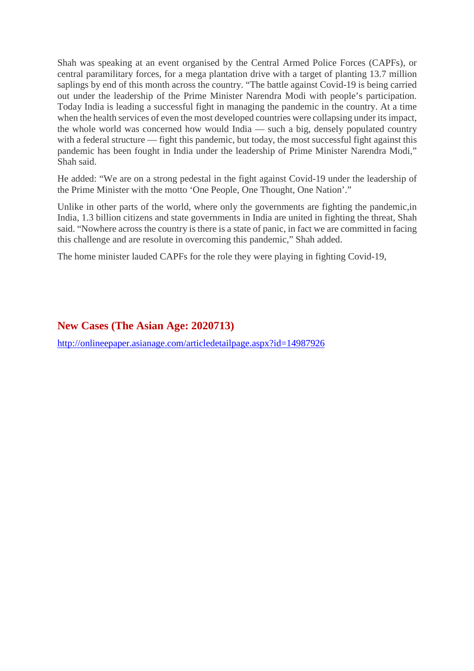Shah was speaking at an event organised by the Central Armed Police Forces (CAPFs), or central paramilitary forces, for a mega plantation drive with a target of planting 13.7 million saplings by end of this month across the country. "The battle against Covid-19 is being carried out under the leadership of the Prime Minister Narendra Modi with people's participation. Today India is leading a successful fight in managing the pandemic in the country. At a time when the health services of even the most developed countries were collapsing under its impact, the whole world was concerned how would India — such a big, densely populated country with a federal structure — fight this pandemic, but today, the most successful fight against this pandemic has been fought in India under the leadership of Prime Minister Narendra Modi," Shah said.

He added: "We are on a strong pedestal in the fight against Covid-19 under the leadership of the Prime Minister with the motto 'One People, One Thought, One Nation'."

Unlike in other parts of the world, where only the governments are fighting the pandemic,in India, 1.3 billion citizens and state governments in India are united in fighting the threat, Shah said. "Nowhere across the country is there is a state of panic, in fact we are committed in facing this challenge and are resolute in overcoming this pandemic," Shah added.

The home minister lauded CAPFs for the role they were playing in fighting Covid-19,

# **New Cases (The Asian Age: 2020713)**

http://onlineepaper.asianage.com/articledetailpage.aspx?id=14987926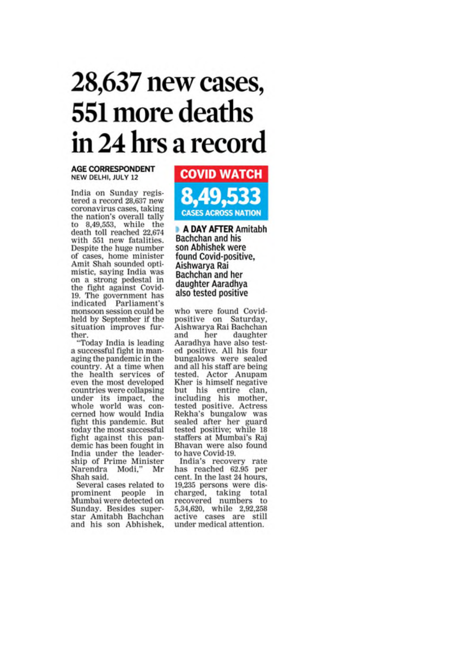# 28,637 new cases, 551 more deaths in 24 hrs a record

#### **AGE CORRESPONDENT** NEW DELHI, JULY 12

India on Sunday registered a record 28,637 new coronavirus cases, taking the nation's overall tally to 8,49,553, while the death toll reached 22,674 with 551 new fatalities. Despite the huge number of cases, home minister Amit Shah sounded optimistic, saying India was on a strong pedestal in the fight against Covid-19. The government has<br>indicated Parliament's monsoon session could be held by September if the situation improves further.

"Today India is leading a successful fight in managing the pandemic in the country. At a time when the health services of even the most developed countries were collapsing under its impact, the<br>whole world was concerned how would India fight this pandemic. But today the most successful fight against this pandemic has been fought in India under the leadership of Prime Minister Mr Narendra Modi." Shah said.

Several cases related to prominent people in Mumbai were detected on Sunday. Besides superstar Amitabh Bachchan and his son Abhishek.



A DAY AFTER Amitabh Bachchan and his son Abhishek were found Covid-positive, Aishwarya Rai Bachchan and her daughter Aaradhya also tested positive

who were found Covidpositive on Saturday, Aishwarya Rai Bachchan and her daughter Aaradhya have also tested positive. All his four<br>bungalows were sealed and all his staff are being tested. Actor Anupam<br>Kher is himself negative but his entire clan,<br>including his mother,<br>tested positive. Actress Rekha's bungalow was sealed after her guard tested positive; while 18 staffers at Mumbai's Raj Bhavan were also found to have Covid-19.

India's recovery rate has reached 62.95 per cent. In the last 24 hours. 19,235 persons were discharged, taking total<br>recovered numbers to 5,34,620, while 2,92,258 active cases are still under medical attention.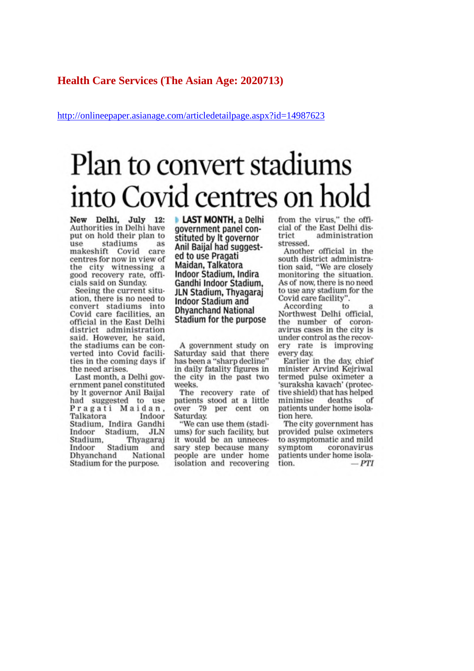### **Health Care Services (The Asian Age: 2020713)**

http://onlineepaper.asianage.com/articledetailpage.aspx?id=14987623

# Plan to convert stadiums into Covid centres on hold

New Delhi, July 12:<br>Authorities in Delhi have put on hold their plan to stadiums use as makeshift Covid care centres for now in view of the city witnessing a good recovery rate, officials said on Sunday.

Seeing the current situation, there is no need to convert stadiums into Covid care facilities, an official in the East Delhi district administration said. However, he said. the stadiums can be converted into Covid facilities in the coming days if the need arises.

Last month, a Delhi government panel constituted by It governor Anil Baijal had suggested to use Pragati Maidan, Talkatora Indoor Stadium, Indira Gandhi Indoor Stadium, JLN Stadium, Thyagaraj Indoor Stadium and Dhyanchand National Stadium for the purpose.

**LAST MONTH, a Delhi** government panel constituted by It governor Anil Baijal had suggested to use Pragati Maidan, Talkatora Indoor Stadium, Indira Gandhi Indoor Stadium, JLN Stadium, Thyagarai **Indoor Stadium and Dhyanchand National** Stadium for the purpose

A government study on Saturday said that there has been a "sharp decline" in daily fatality figures in the city in the past two weeks.

The recovery rate of patients stood at a little over 79 per cent on Saturday.

"We can use them (stadiums) for such facility, but it would be an unnecessary step because many people are under home isolation and recovering from the virus," the official of the East Delhi district administration stressed.

Another official in the south district administration said, "We are closely monitoring the situation. As of now, there is no need to use any stadium for the Covid care facility"

According to Northwest Delhi official, the number of coronavirus cases in the city is under control as the recovery rate is improving every day.

Earlier in the day, chief minister Arvind Kejriwal termed pulse oximeter a 'suraksha kavach' (protective shield) that has helped minimise deaths of patients under home isolation here.

The city government has provided pulse oximeters to asymptomatic and mild symptom coronavirus patients under home isolation. – PTI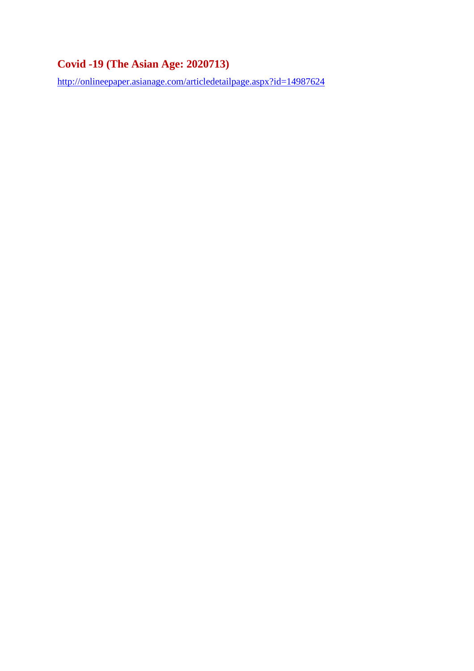# **Covid -19 (The Asian Age: 2020713)**

http://onlineepaper.asianage.com/articledetailpage.aspx?id=14987624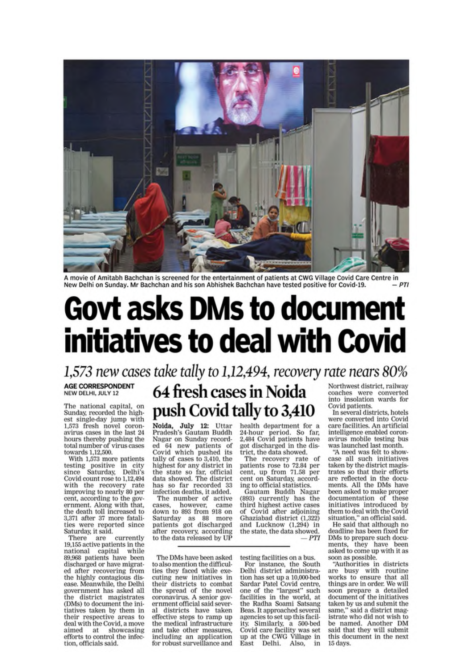

A movie of Amitabh Bachchan is screened for the entertainment of patients at CWG Village Covid Care Centre in New Delhi on Sunday. Mr Bachchan and his son Abhishek Bachchan have tested positive for Covid-19.  $-PTI$ 

# **Govt asks DMs to document** initiatives to deal with Covid

1,573 new cases take tally to 1,12,494, recovery rate nears 80%

#### **AGE CORRESPONDENT** NEW DELHI, JULY 12

The national capital, on Sunday, recorded the highest single-day jump with 1,573 fresh novel coron-<br>avirus cases in the last 24 hours thereby pushing the<br>total number of virus cases towards 1.12,500.

With 1,573 more patients testing positive in city<br>since Saturday, Delhi's Covid count rose to 1,12,494 with the recovery rate improving to nearly 80 per cent, according to the government. Along with that, the death toll increased to 3,371 after 37 more fatalities were reported since Saturday, it said.

There are currently<br>19,155 active patients in the national capital while<br>89,968 patients have been discharged or have migrated after recovering from the highly contagious disease. Meanwhile, the Delhi government has asked all the district magistrates (DMs) to document the initiatives taken by them in their respective areas to deal with the Covid, a move aimed at showcasing<br>efforts to control the infection, officials said.

# 64 fresh cases in Noida push Covid tally to 3,410

Noida, July 12: Uttar Pradesh's Gautam Buddh Nagar on Sunday recorded 64 new patients of<br>Covid which pushed its tally of cases to 3,410, the highest for any district in the state so far, official<br>data showed. The district has so far recorded 33 infection deaths, it added.

The number of active cases, however, came down to 893 from 918 on Saturday as 88 more<br>patients got discharged after recovery, according<br>to the data released by UP

The DMs have been asked to also mention the difficulties they faced while executing new initiatives in their districts to combat<br>the spread of the novel coronavirus. A senior government official said several districts have taken effective steps to ramp up the medical infrastructure and take other measures, including an application for robust surveillance and health department for a 24-hour period. So far,<br>2,484 Covid patients have got discharged in the district, the data showed.

The recovery rate of<br>patients rose to 72.84 per cent, up from 71.58 per cent on Saturday, according to official statistics.

Gautam Buddh Nagar (893) currently has the third highest active cases of Covid after adjoining<br>Ghaziabad district (1,322) and Lucknow (1,294) in<br>the state, the data showed.  $-PTI$ 

testing facilities on a bus. For instance, the South<br>Delhi district administration has set up a 10,000-bed Sardar Patel Covid centre, one of the "largest" such facilities in the world, at the Radha Soami Satsang Beas. It approached several agencies to set up this facility. Similarly, a 500-bed<br>Covid care facility was set<br>up at the CWG Village in East Delhi, Also, in

Northwest district, railway coaches were converted<br>into insolation wards for Covid patients.

In several districts, hotels were converted into Covid care facilities. An artificial intelligence enabled coronavirus mobile testing bus was launched last month.

"A need was felt to showcase all such initiatives taken by the district magistrates so that their efforts are reflected in the documents. All the DMs have been asked to make proper documentation of these initiatives introduced by<br>them to deal with the Covid situation," an official said.

He said that although no deadline has been fixed for DMs to prepare such documents, they have been asked to come up with it as soon as possible.

"Authorities in districts are busy with routine works to ensure that all things are in order. We will soon prepare a detailed document of the initiatives taken by us and submit the same," said a district magistrate who did not wish to be named. Another DM said that they will submit<br>this document in the next 15 days.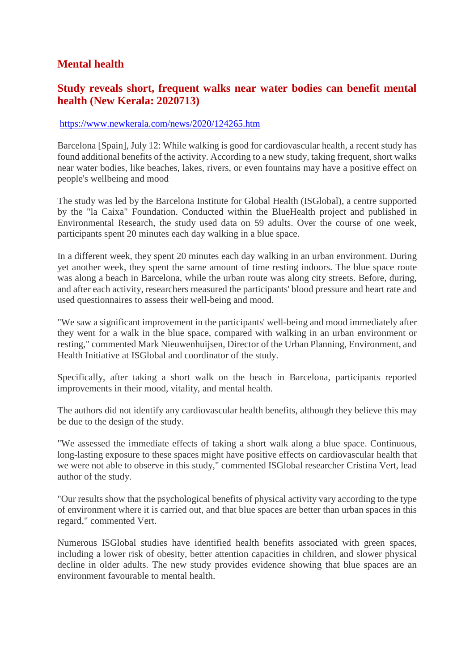# **Mental health**

# **Study reveals short, frequent walks near water bodies can benefit mental health (New Kerala: 2020713)**

### https://www.newkerala.com/news/2020/124265.htm

Barcelona [Spain], July 12: While walking is good for cardiovascular health, a recent study has found additional benefits of the activity. According to a new study, taking frequent, short walks near water bodies, like beaches, lakes, rivers, or even fountains may have a positive effect on people's wellbeing and mood

The study was led by the Barcelona Institute for Global Health (ISGlobal), a centre supported by the "la Caixa" Foundation. Conducted within the BlueHealth project and published in Environmental Research, the study used data on 59 adults. Over the course of one week, participants spent 20 minutes each day walking in a blue space.

In a different week, they spent 20 minutes each day walking in an urban environment. During yet another week, they spent the same amount of time resting indoors. The blue space route was along a beach in Barcelona, while the urban route was along city streets. Before, during, and after each activity, researchers measured the participants' blood pressure and heart rate and used questionnaires to assess their well-being and mood.

"We saw a significant improvement in the participants' well-being and mood immediately after they went for a walk in the blue space, compared with walking in an urban environment or resting," commented Mark Nieuwenhuijsen, Director of the Urban Planning, Environment, and Health Initiative at ISGlobal and coordinator of the study.

Specifically, after taking a short walk on the beach in Barcelona, participants reported improvements in their mood, vitality, and mental health.

The authors did not identify any cardiovascular health benefits, although they believe this may be due to the design of the study.

"We assessed the immediate effects of taking a short walk along a blue space. Continuous, long-lasting exposure to these spaces might have positive effects on cardiovascular health that we were not able to observe in this study," commented ISGlobal researcher Cristina Vert, lead author of the study.

"Our results show that the psychological benefits of physical activity vary according to the type of environment where it is carried out, and that blue spaces are better than urban spaces in this regard," commented Vert.

Numerous ISGlobal studies have identified health benefits associated with green spaces, including a lower risk of obesity, better attention capacities in children, and slower physical decline in older adults. The new study provides evidence showing that blue spaces are an environment favourable to mental health.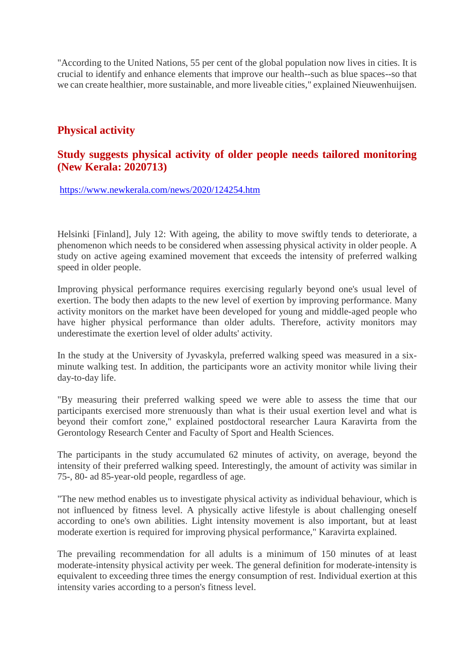"According to the United Nations, 55 per cent of the global population now lives in cities. It is crucial to identify and enhance elements that improve our health--such as blue spaces--so that we can create healthier, more sustainable, and more liveable cities," explained Nieuwenhuijsen.

# **Physical activity**

# **Study suggests physical activity of older people needs tailored monitoring (New Kerala: 2020713)**

https://www.newkerala.com/news/2020/124254.htm

Helsinki [Finland], July 12: With ageing, the ability to move swiftly tends to deteriorate, a phenomenon which needs to be considered when assessing physical activity in older people. A study on active ageing examined movement that exceeds the intensity of preferred walking speed in older people.

Improving physical performance requires exercising regularly beyond one's usual level of exertion. The body then adapts to the new level of exertion by improving performance. Many activity monitors on the market have been developed for young and middle-aged people who have higher physical performance than older adults. Therefore, activity monitors may underestimate the exertion level of older adults' activity.

In the study at the University of Jyvaskyla, preferred walking speed was measured in a sixminute walking test. In addition, the participants wore an activity monitor while living their day-to-day life.

"By measuring their preferred walking speed we were able to assess the time that our participants exercised more strenuously than what is their usual exertion level and what is beyond their comfort zone," explained postdoctoral researcher Laura Karavirta from the Gerontology Research Center and Faculty of Sport and Health Sciences.

The participants in the study accumulated 62 minutes of activity, on average, beyond the intensity of their preferred walking speed. Interestingly, the amount of activity was similar in 75-, 80- ad 85-year-old people, regardless of age.

"The new method enables us to investigate physical activity as individual behaviour, which is not influenced by fitness level. A physically active lifestyle is about challenging oneself according to one's own abilities. Light intensity movement is also important, but at least moderate exertion is required for improving physical performance," Karavirta explained.

The prevailing recommendation for all adults is a minimum of 150 minutes of at least moderate-intensity physical activity per week. The general definition for moderate-intensity is equivalent to exceeding three times the energy consumption of rest. Individual exertion at this intensity varies according to a person's fitness level.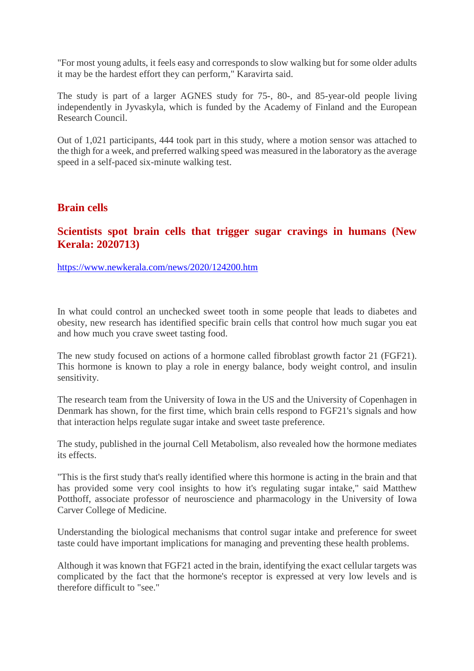"For most young adults, it feels easy and corresponds to slow walking but for some older adults it may be the hardest effort they can perform," Karavirta said.

The study is part of a larger AGNES study for 75-, 80-, and 85-year-old people living independently in Jyvaskyla, which is funded by the Academy of Finland and the European Research Council.

Out of 1,021 participants, 444 took part in this study, where a motion sensor was attached to the thigh for a week, and preferred walking speed was measured in the laboratory as the average speed in a self-paced six-minute walking test.

## **Brain cells**

# **Scientists spot brain cells that trigger sugar cravings in humans (New Kerala: 2020713)**

https://www.newkerala.com/news/2020/124200.htm

In what could control an unchecked sweet tooth in some people that leads to diabetes and obesity, new research has identified specific brain cells that control how much sugar you eat and how much you crave sweet tasting food.

The new study focused on actions of a hormone called fibroblast growth factor 21 (FGF21). This hormone is known to play a role in energy balance, body weight control, and insulin sensitivity.

The research team from the University of Iowa in the US and the University of Copenhagen in Denmark has shown, for the first time, which brain cells respond to FGF21's signals and how that interaction helps regulate sugar intake and sweet taste preference.

The study, published in the journal Cell Metabolism, also revealed how the hormone mediates its effects.

"This is the first study that's really identified where this hormone is acting in the brain and that has provided some very cool insights to how it's regulating sugar intake," said Matthew Potthoff, associate professor of neuroscience and pharmacology in the University of Iowa Carver College of Medicine.

Understanding the biological mechanisms that control sugar intake and preference for sweet taste could have important implications for managing and preventing these health problems.

Although it was known that FGF21 acted in the brain, identifying the exact cellular targets was complicated by the fact that the hormone's receptor is expressed at very low levels and is therefore difficult to "see."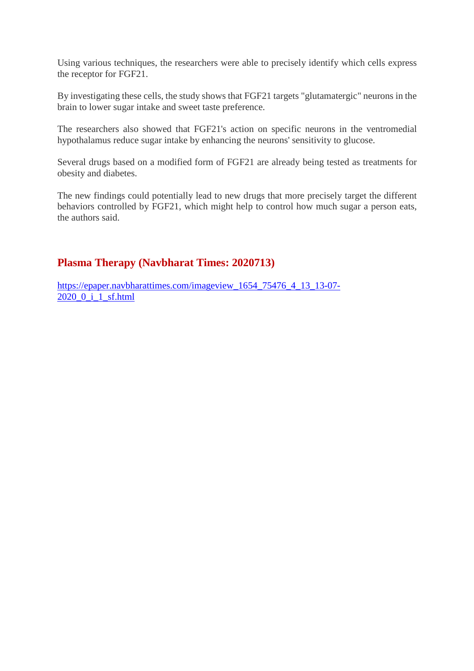Using various techniques, the researchers were able to precisely identify which cells express the receptor for FGF21.

By investigating these cells, the study shows that FGF21 targets "glutamatergic" neurons in the brain to lower sugar intake and sweet taste preference.

The researchers also showed that FGF21's action on specific neurons in the ventromedial hypothalamus reduce sugar intake by enhancing the neurons' sensitivity to glucose.

Several drugs based on a modified form of FGF21 are already being tested as treatments for obesity and diabetes.

The new findings could potentially lead to new drugs that more precisely target the different behaviors controlled by FGF21, which might help to control how much sugar a person eats, the authors said.

# **Plasma Therapy (Navbharat Times: 2020713)**

https://epaper.navbharattimes.com/imageview\_1654\_75476\_4\_13\_13-07- 2020\_0\_i\_1\_sf.html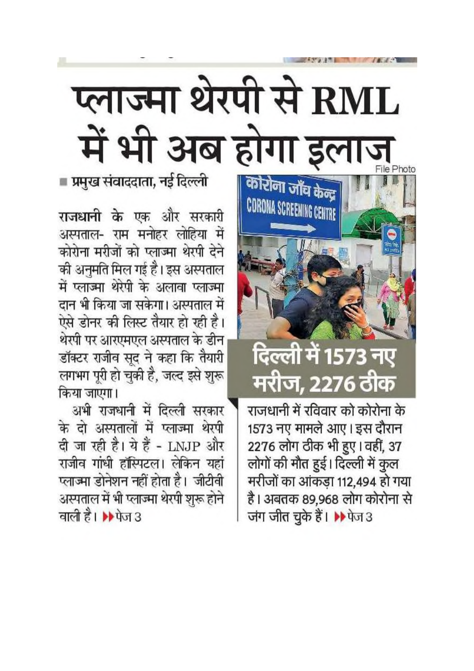# प्लाज्मा थेरपी से RML में भी अब होगा

■ प्रमुख संवाददाता, नई दिल्ली

राजधानी के एक और सरकारी अस्पताल- राम मनोहर लोहिया में कोरोना मरीजों को प्लाज्मा थेरपी देने की अनुमति मिल गई है। इस अस्पताल में प्लाज्मा थेरेपी के अलावा प्लाज्मा दान भी किया जा सकेगा। अस्पताल में ऐसे डोनर की लिस्ट तैयार हो रही है। थेरपी पर आरएमएल अस्पताल के डीन डॉक्टर राजीव सूद ने कहा कि तैयारी लगभग पूरी हो चुकी है, जल्द इसे शुरू किया जाएगा।

अभी राजधानी में दिल्ली सरकार के दो अस्पतालों में प्लाज्मा थेरपी दी जा रही है। ये हैं - LNJP और राजीव गांधी हॉस्पिटल। लेकिन यहां प्लाज्मा डोनेशन नहीं होता है। जीटीवी अस्पताल में भी प्लाज्मा थेरपी शुरू होने वाली है। ▶ पेज 3



राजधानी में रविवार को कोरोना के 1573 नए मामले आए। इस दौरान 2276 लोग ठीक भी हुए। वहीं, 37 लोगों की मौत हुई। दिल्ली में कुल मरीजों का आंकड़ा 112,494 हो गया है। अबतक 89,968 लोग कोरोना से जंग जीत चुके हैं। ▶ पेज 3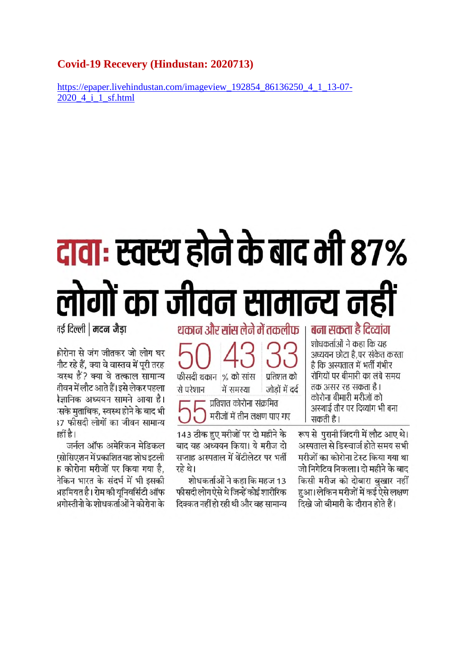## **Covid-19 Recevery (Hindustan: 2020713)**

https://epaper.livehindustan.com/imageview 192854 86136250 4 1 13-07-2020 4 i 1 sf.html

# <u>दावाः स्वस्थ होने के बाद भी 87%</u> लोगों का जीवन सामान्य नहीं

नई दिल्ली | मदन जैडा

होरोना से जंग जीतकर जो लोग घर नौट रहे हैं. क्या वे वास्तव में परी तरह वस्थ हैं? क्या वे तत्काल सामान्य नीवन में लौट आते हैं। इसे लेकर पहला ोज्ञानिक अध्ययन सामने आया है। सके मताबिक. स्वस्थ होने के बाद भी 37 फीसदी लोगों का जीवन सामान्य ाहीं है।

जर्नल ऑफ अमेरिकन मेडिकल !सोसिएशन में प्रकाशित यह शोध इटली 5 कोरोना मरीजों पर किया गया है. नेकिन भारत के संदर्भ में भी इसकी भहमियत है। रोम की यनिवर्सिटी ऑफ <u>भगोस्तीनो के शोधकर्ताओं ने कोरोना के </u> थकान और सांस लेने में तकलीफ

फीसदी थकान % को सांस प्रतिशत को से परेशान जोड़ों में दर्द में समस्या प्रतिशत कोरोना संक्रमित मरीजों में तीन लक्षण पाए गए

143 ठीक हुए मरीजों पर दो महीने के बाद यह अध्ययन किया। ये मरीज दो सप्ताह अस्पताल में वेंटीलेटर पर भर्ती रहे थे।

शोधकर्ताओं ने कहा कि महज 13 फीसदी लोग ऐसे थे जिन्हें कोई शारीरिक दिक्कत नहीं हो रही थी और वह सामान्य बना सकता है दिव्यांग

शोधकर्ताओं ने कहा कि यह अध्ययन छोटा है,पर संकेत करता है कि अस्पताल में भर्ती गंभीर रोगियों पर बीमारी का लंबे समय तक असर रह सकता है। कोरोना बीमारी मरीजों को अस्थाई तौर पर दिव्यांग भी बना सकती है।

रूप से पुरानी जिंदगी में लौट आए थे। अस्पताल से डिस्चार्ज होते समय सभी मरीजों का कोरोना टेस्ट किया गया था जो निगेटिव निकला। दो महीने के बाद किसी मरीज को दोबारा बखार नहीं हुआ। लेकिन मरीजों में कई ऐसे लक्षण दिखे जो बीमारी के दौरान होते हैं।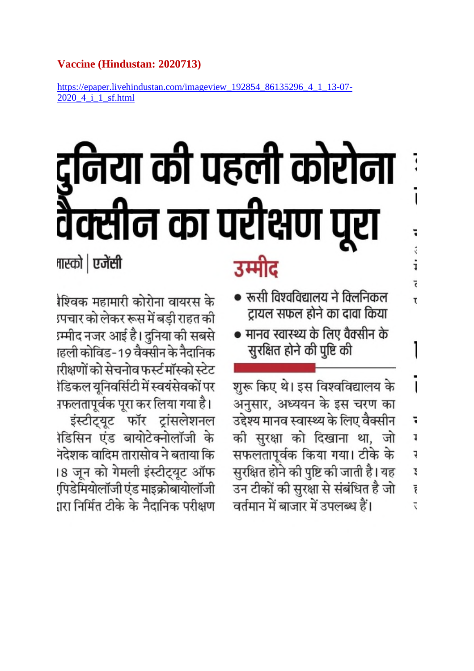# Vaccine (Hindustan: 2020713)

https://epaper.livehindustan.com/imageview\_192854\_86135296\_4\_1\_13-07-2020 4 i 1 sf.html

# निया की पहली कोरोना क्सीन का परीक्षण

**ना**स्को | एजेंसी

शिवक महामारी कोरोना वायरस के <u>प्रचार को लेकर रूस में बड़ी राहत की</u> ग्र्म्मीद नजर आई है। दुनिया की सबसे ाहली कोविड-19 वैक्सीन के नैदानिक ारीक्षणों को सेचनोव फर्स्ट मॉस्को स्टेट ìडिकल युनिवर्सिटी में स्वयंसेवकों पर गफलतापूर्वक पूरा कर लिया गया है। इंस्टीट्यूट फॉर ट्रांसलेशनल ोडिसिन एंड बायोटेक्नोलॉजी के नदेशक वादिम तारासोव ने बताया कि ।8 जून को गेमली इंस्टीट्यूट ऑफ

(पिडेमियोलॉजी एंड माइक्रोबायोलॉजी ारा निर्मित टीके के नैदानिक परीक्षण

# उम्मीट

• रूसी विश्वविद्यालय ने क्लिनिकल ट्रायल सफल होने का दावा किया  $\overline{\phantom{a}}$ 

ī

 $\ddot{\phantom{0}}$ 

i

Ē

T

• मानव स्वास्थ्य के लिए वैक्सीन के सुरक्षित होने की पुष्टि की

शुरू किए थे। इस विश्वविद्यालय के I अनुसार, अध्ययन के इस चरण का उद्देश्य मानव स्वास्थ्य के लिए वैक्सीन 1 की सुरक्षा को दिखाना था, जो 1 सफलतापूर्वक किया गया। टीके के ŕ, सुरक्षित होने की पुष्टि की जाती है। यह Z उन टीकों की सुरक्षा से संबंधित है जो Ĕ वर्तमान में बाजार में उपलब्ध हैं।  $\overline{z}$